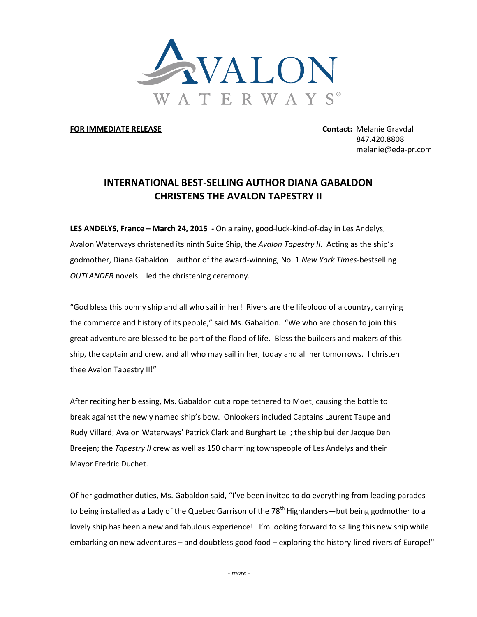

**FOR IMMEDIATE RELEASE Contact:** Melanie Gravdal

847.420.8808 melanie@eda-pr.com

## **INTERNATIONAL BEST-SELLING AUTHOR DIANA GABALDON CHRISTENS THE AVALON TAPESTRY II**

**LES ANDELYS, France – March 24, 2015 -** On a rainy, good-luck-kind-of-day in Les Andelys, Avalon Waterways christened its ninth Suite Ship, the *Avalon Tapestry II*. Acting as the ship's godmother, Diana Gabaldon – author of the award-winning, No. 1 *New York Times*-bestselling *OUTLANDER* novels *–* led the christening ceremony.

"God bless this bonny ship and all who sail in her! Rivers are the lifeblood of a country, carrying the commerce and history of its people," said Ms. Gabaldon. "We who are chosen to join this great adventure are blessed to be part of the flood of life. Bless the builders and makers of this ship, the captain and crew, and all who may sail in her, today and all her tomorrows. I christen thee Avalon Tapestry II!"

After reciting her blessing, Ms. Gabaldon cut a rope tethered to Moet, causing the bottle to break against the newly named ship's bow. Onlookers included Captains Laurent Taupe and Rudy Villard; Avalon Waterways' Patrick Clark and Burghart Lell; the ship builder Jacque Den Breejen; the *Tapestry II* crew as well as 150 charming townspeople of Les Andelys and their Mayor Fredric Duchet.

Of her godmother duties, Ms. Gabaldon said, "I've been invited to do everything from leading parades to being installed as a Lady of the Quebec Garrison of the 78<sup>th</sup> Highlanders—but being godmother to a lovely ship has been a new and fabulous experience! I'm looking forward to sailing this new ship while embarking on new adventures – and doubtless good food – exploring the history-lined rivers of Europe!"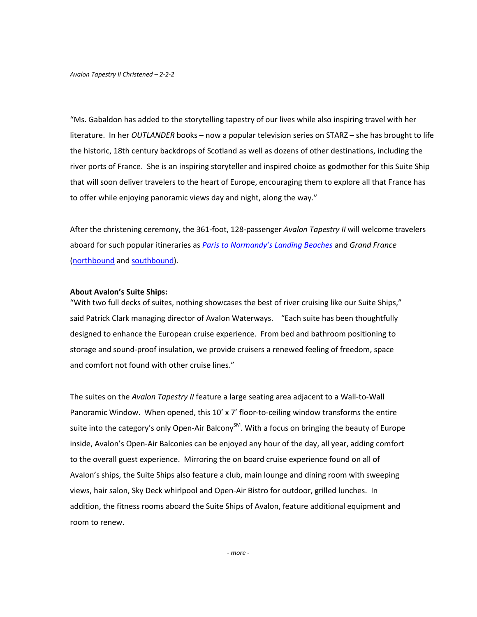*Avalon Tapestry II Christened – 2-2-2*

"Ms. Gabaldon has added to the storytelling tapestry of our lives while also inspiring travel with her literature. In her *OUTLANDER* books – now a popular television series on STARZ – she has brought to life the historic, 18th century backdrops of Scotland as well as dozens of other destinations, including the river ports of France. She is an inspiring storyteller and inspired choice as godmother for this Suite Ship that will soon deliver travelers to the heart of Europe, encouraging them to explore all that France has to offer while enjoying panoramic views day and night, along the way."

After the christening ceremony, the 361-foot, 128-passenger *Avalon Tapestry II* will welcome travelers aboard for such popular itineraries as *[Paris to Normandy's Landing Beaches](http://www.avalonwaterways.com/Product.aspx?trip=5WPP&content=overview&source=AW_Cruises_Tapestry_II)* and *Grand France*  [\(northbound](http://www.avalonwaterways.com/Product.aspx?trip=5WLP&content=overview&source=AW_Cruises_Tapestry_II) and [southbound\)](http://www.avalonwaterways.com/Product.aspx?trip=5WPL&content=overview&source=AW_Cruises_Tapestry_II).

## **About Avalon's Suite Ships:**

"With two full decks of suites, nothing showcases the best of river cruising like our Suite Ships," said Patrick Clark managing director of Avalon Waterways. "Each suite has been thoughtfully designed to enhance the European cruise experience. From bed and bathroom positioning to storage and sound-proof insulation, we provide cruisers a renewed feeling of freedom, space and comfort not found with other cruise lines."

The suites on the *Avalon Tapestry II* feature a large seating area adjacent to a Wall-to-Wall Panoramic Window. When opened, this 10' x 7' floor-to-ceiling window transforms the entire suite into the category's only Open-Air Balcony<sup>SM</sup>. With a focus on bringing the beauty of Europe inside, Avalon's Open-Air Balconies can be enjoyed any hour of the day, all year, adding comfort to the overall guest experience. Mirroring the on board cruise experience found on all of Avalon's ships, the Suite Ships also feature a club, main lounge and dining room with sweeping views, hair salon, Sky Deck whirlpool and Open-Air Bistro for outdoor, grilled lunches. In addition, the fitness rooms aboard the Suite Ships of Avalon, feature additional equipment and room to renew.